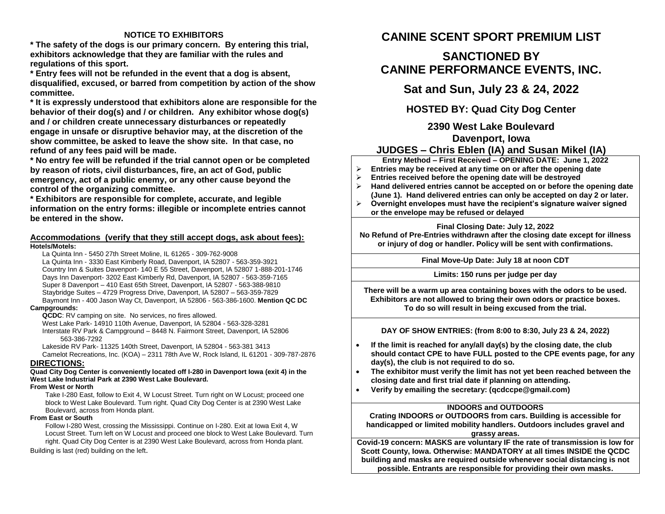### **NOTICE TO EXHIBITORS**

**\* The safety of the dogs is our primary concern. By entering this trial, exhibitors acknowledge that they are familiar with the rules and regulations of this sport.**

**\* Entry fees will not be refunded in the event that a dog is absent, disqualified, excused, or barred from competition by action of the show committee.** 

**\* It is expressly understood that exhibitors alone are responsible for the behavior of their dog(s) and / or children. Any exhibitor whose dog(s) and / or children create unnecessary disturbances or repeatedly engage in unsafe or disruptive behavior may, at the discretion of the show committee, be asked to leave the show site. In that case, no refund of any fees paid will be made.**

**\* No entry fee will be refunded if the trial cannot open or be completed by reason of riots, civil disturbances, fire, an act of God, public emergency, act of a public enemy, or any other cause beyond the control of the organizing committee.**

**\* Exhibitors are responsible for complete, accurate, and legible information on the entry forms: illegible or incomplete entries cannot be entered in the show.**

### **Accommodations (verify that they still accept dogs, ask about fees): Hotels/Motels:**

La Quinta Inn - 5450 27th Street Moline, IL 61265 - 309-762-9008

La Quinta Inn - 3330 East Kimberly Road, Davenport, IA 52807 - 563-359-3921 Country Inn & Suites Davenport- 140 E 55 Street, Davenport, IA 52807 1-888-201-1746 Days Inn Davenport- 3202 East Kimberly Rd, Davenport, IA 52807 - 563-359-7165 Super 8 Davenport – 410 East 65th Street, Davenport, IA 52807 - 563-388-9810 Staybridge Suites – 4729 Progress Drive, Davenport, IA 52807 – 563-359-7829 Baymont Inn - 400 Jason Way Ct, Davenport, IA 52806 - 563-386-1600. **Mention QC DC** 

### **Campgrounds:**

**QCDC**: RV camping on site. No services, no fires allowed.

West Lake Park- 14910 110th Avenue, Davenport, IA 52804 - 563-328-3281 Interstate RV Park & Campground – 8448 N. Fairmont Street, Davenport, IA 52806 563-386-7292

Lakeside RV Park- 11325 140th Street, Davenport, IA 52804 - 563-381 3413 Camelot Recreations, Inc. (KOA) – 2311 78th Ave W, Rock Island, IL 61201 - 309-787-2876

# **DIRECTIONS:**

### **Quad City Dog Center is conveniently located off I-280 in Davenport Iowa (exit 4) in the West Lake Industrial Park at 2390 West Lake Boulevard.**

### **From West or North**

Take I-280 East, follow to Exit 4, W Locust Street. Turn right on W Locust; proceed one block to West Lake Boulevard. Turn right. Quad City Dog Center is at 2390 West Lake Boulevard, across from Honda plant.

### **From East or South**

Follow I-280 West, crossing the Mississippi. Continue on I-280. Exit at Iowa Exit 4, W Locust Street. Turn left on W Locust and proceed one block to West Lake Boulevard. Turn right. Quad City Dog Center is at 2390 West Lake Boulevard, across from Honda plant.

Building is last (red) building on the left.

# **CANINE SCENT SPORT PREMIUM LIST**

# **SANCTIONED BY CANINE PERFORMANCE EVENTS, INC.**

**Sat and Sun, July 23 & 24, 2022**

**HOSTED BY: Quad City Dog Center**

**2390 West Lake Boulevard Davenport, Iowa**

# **JUDGES – Chris Eblen (IA) and Susan Mikel (IA)**

**Entry Method – First Received – OPENING DATE: June 1, 2022**

- **Entries may be received at any time on or after the opening date**
- **Entries received before the opening date will be destroyed**
- **Hand delivered entries cannot be accepted on or before the opening date (June 1). Hand delivered entries can only be accepted on day 2 or later.**
- **Overnight envelopes must have the recipient's signature waiver signed or the envelope may be refused or delayed**

# **Final Closing Date: July 12, 2022**

**No Refund of Pre-Entries withdrawn after the closing date except for illness or injury of dog or handler. Policy will be sent with confirmations.**

**Final Move-Up Date: July 18 at noon CDT**

# **Limits: 150 runs per judge per day**

**There will be a warm up area containing boxes with the odors to be used. Exhibitors are not allowed to bring their own odors or practice boxes. To do so will result in being excused from the trial.**

**DAY OF SHOW ENTRIES: (from 8:00 to 8:30, July 23 & 24, 2022)**

- **If the limit is reached for any/all day(s) by the closing date, the club should contact CPE to have FULL posted to the CPE events page, for any day(s), the club is not required to do so.**
- **The exhibitor must verify the limit has not yet been reached between the closing date and first trial date if planning on attending.**
- **Verify by emailing the secretary: (qcdccpe@gmail.com)**

# **INDOORS and OUTDOORS**

**Crating INDOORS or OUTDOORS from cars. Building is accessible for handicapped or limited mobility handlers. Outdoors includes gravel and grassy areas.**

**Covid-19 concern: MASKS are voluntary IF the rate of transmission is low for Scott County, Iowa. Otherwise: MANDATORY at all times INSIDE the QCDC building and masks are required outside whenever social distancing is not possible. Entrants are responsible for providing their own masks.**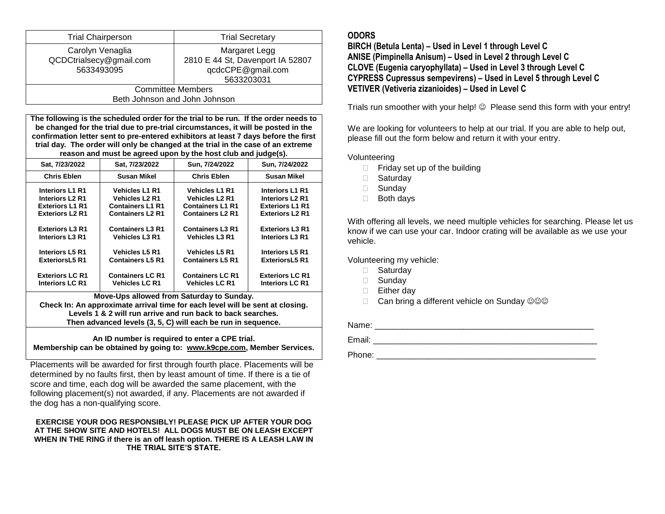| <b>Trial Chairperson</b>      | <b>Trial Secretary</b>           |  |  |
|-------------------------------|----------------------------------|--|--|
| Carolyn Venaglia              | Margaret Legg                    |  |  |
| QCDCtrialsecy@gmail.com       | 2810 E 44 St, Davenport IA 52807 |  |  |
| 5633493095                    | qcdcCPE@gmail.com                |  |  |
|                               | 5633203031                       |  |  |
| <b>Committee Members</b>      |                                  |  |  |
| Beth Johnson and John Johnson |                                  |  |  |

**The following is the scheduled order for the trial to be run. If the order needs to be changed for the trial due to pre-trial circumstances, it will be posted in the confirmation letter sent to pre-entered exhibitors at least 7 days before the first trial day. The order will only be changed at the trial in the case of an extreme reason and must be agreed upon by the host club and judge(s).**

| Sat. 7/23/2022         | Sat. 7/23/2022          | Sun. 7/24/2022          | Sun. 7/24/2022         |  |
|------------------------|-------------------------|-------------------------|------------------------|--|
| <b>Chris Eblen</b>     | <b>Susan Mikel</b>      | <b>Chris Eblen</b>      | <b>Susan Mikel</b>     |  |
| <b>Interiors L1 R1</b> | <b>Vehicles L1 R1</b>   | <b>Vehicles L1 R1</b>   | <b>Interiors L1 R1</b> |  |
| <b>Interiors L2 R1</b> | <b>Vehicles L2 R1</b>   | <b>Vehicles L2 R1</b>   | <b>Interiors L2 R1</b> |  |
| <b>Exteriors L1 R1</b> | <b>Containers L1 R1</b> | <b>Containers L1 R1</b> | <b>Exteriors L1 R1</b> |  |
| <b>Exteriors L2 R1</b> | <b>Containers L2 R1</b> | <b>Containers L2 R1</b> | <b>Exteriors L2 R1</b> |  |
| <b>Exteriors L3 R1</b> | <b>Containers L3 R1</b> | <b>Containers L3 R1</b> | <b>Exteriors L3 R1</b> |  |
| <b>Interiors L3 R1</b> | <b>Vehicles L3 R1</b>   | <b>Vehicles L3 R1</b>   | <b>Interiors L3 R1</b> |  |
| <b>Interiors L5 R1</b> | <b>Vehicles L5 R1</b>   | <b>Vehicles L5 R1</b>   | <b>Interiors L5 R1</b> |  |
| <b>ExteriorsL5 R1</b>  | <b>Containers L5 R1</b> | <b>Containers L5 R1</b> | <b>ExteriorsL5 R1</b>  |  |
| <b>Exteriors LC R1</b> | <b>Containers LC R1</b> | <b>Containers LC R1</b> | <b>Exteriors LC R1</b> |  |
| <b>Interiors LC R1</b> | <b>Vehicles LC R1</b>   | <b>Vehicles LC R1</b>   | <b>Interiors LC R1</b> |  |

**Move-Ups allowed from Saturday to Sunday.** 

**Check In: An approximate arrival time for each level will be sent at closing. Levels 1 & 2 will run arrive and run back to back searches. Then advanced levels (3, 5, C) will each be run in sequence.** 

**An ID number is required to enter a CPE trial. Membership can be obtained by going to: [www.k9cpe.com,](http://www.k9cpe.com/) Member Services.**

Placements will be awarded for first through fourth place. Placements will be determined by no faults first, then by least amount of time. If there is a tie of score and time, each dog will be awarded the same placement, with the following placement(s) not awarded, if any. Placements are not awarded if the dog has a non-qualifying score.

#### **EXERCISE YOUR DOG RESPONSIBLY! PLEASE PICK UP AFTER YOUR DOG AT THE SHOW SITE AND HOTELS! ALL DOGS MUST BE ON LEASH EXCEPT WHEN IN THE RING if there is an off leash option. THERE IS A LEASH LAW IN THE TRIAL SITE'S STATE.**

# **ODORS**

**BIRCH (Betula Lenta) – Used in Level 1 through Level C ANISE (Pimpinella Anisum) – Used in Level 2 through Level C CLOVE (Eugenia caryophyllata) – Used in Level 3 through Level C CYPRESS Cupressus sempevirens) – Used in Level 5 through Level C VETIVER (Vetiveria zizanioides) – Used in Level C**

Trials run smoother with your help!  $\odot$  Please send this form with your entry!

We are looking for volunteers to help at our trial. If you are able to help out, please fill out the form below and return it with your entry.

Volunteering

- $\Box$  Friday set up of the building
- □ Saturdav
- □ Sunday
- Both days

With offering all levels, we need multiple vehicles for searching. Please let us know if we can use your car. Indoor crating will be available as we use your vehicle.

Volunteering my vehicle:

- □ Saturday
- □ Sundav
- **Either day**
- $\Box$  Can bring a different vehicle on Sunday  $\textcircled{}\otimes\textcircled{}$

Name: \_\_\_\_\_\_\_\_\_\_\_\_\_\_\_\_\_\_\_\_\_\_\_\_\_\_\_\_\_\_\_\_\_\_\_\_\_\_\_\_\_\_\_\_\_\_\_ Email: \_\_\_\_\_\_\_\_\_\_\_\_\_\_\_\_\_\_\_\_\_\_\_\_\_\_\_\_\_\_\_\_\_\_\_\_\_\_\_\_\_\_\_\_\_\_\_\_

Phone: \_\_\_\_\_\_\_\_\_\_\_\_\_\_\_\_\_\_\_\_\_\_\_\_\_\_\_\_\_\_\_\_\_\_\_\_\_\_\_\_\_\_\_\_\_\_\_